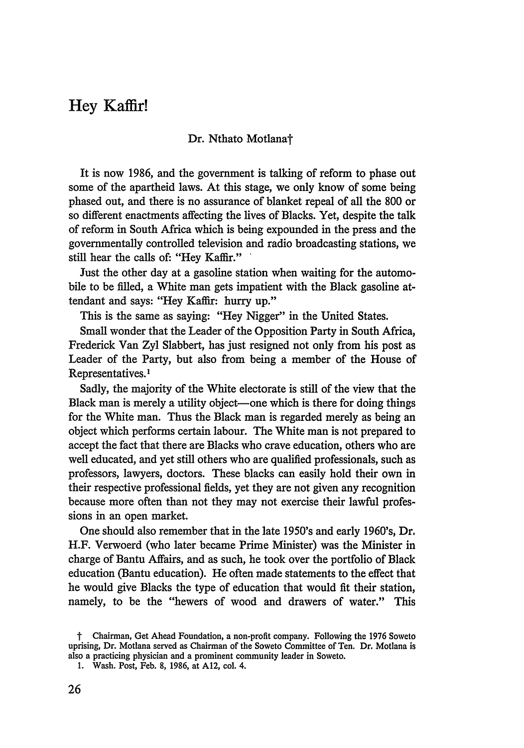# Hey Kaffir!

#### Dr. Nthato Motlana<sup>†</sup>

It is now 1986, and the government is talking of reform to phase out some of the apartheid laws. At this stage, we only know of some being phased out, and there is no assurance of blanket repeal of all the 800 or so different enactments affecting the lives of Blacks. Yet, despite the talk of reform in South Africa which is being expounded in the press and the governmentally controlled television and radio broadcasting stations, we still hear the calls **of:** "Hey Kaffir."

Just the other day at a gasoline station when waiting for the automobile to be filled, a White man gets impatient with the Black gasoline attendant and says: "Hey Kaffir: hurry up."

This is the same as saying: "Hey Nigger" in the United States.

Small wonder that the Leader of the Opposition Party in South Africa, Frederick Van Zyl Slabbert, has just resigned not only from his post as Leader of the Party, but also from being a member of the House of Representatives.<sup>1</sup>

Sadly, the majority of the White electorate is still of the view that the Black man is merely a utility object—one which is there for doing things for the White man. Thus the Black man is regarded merely as being an object which performs certain labour. The White man is not prepared to accept the fact that there are Blacks who crave education, others who are well educated, and yet still others who are qualified professionals, such as professors, lawyers, doctors. These blacks can easily hold their own in their respective professional fields, yet they are not given any recognition because more often than not they may not exercise their lawful professions in an open market.

One should also remember that in the late 1950's and early 1960's, Dr. H.F. Verwoerd (who later became Prime Minister) was the Minister in charge of Bantu Affairs, and as such, he took over the portfolio of Black education (Bantu education). He often made statements to the effect that he would give Blacks the type of education that would fit their station, namely, to be the "hewers of wood and drawers of water." This

t Chairman, Get Ahead Foundation, a non-profit company. Following the 1976 Soweto uprising, Dr. Motlana served as Chairman of the Soweto Committee of Ten. Dr. Motlana is also a practicing physician and a prominent community leader in Soweto.

<sup>1.</sup> Wash. Post, Feb. 8, 1986, at A12, col. 4.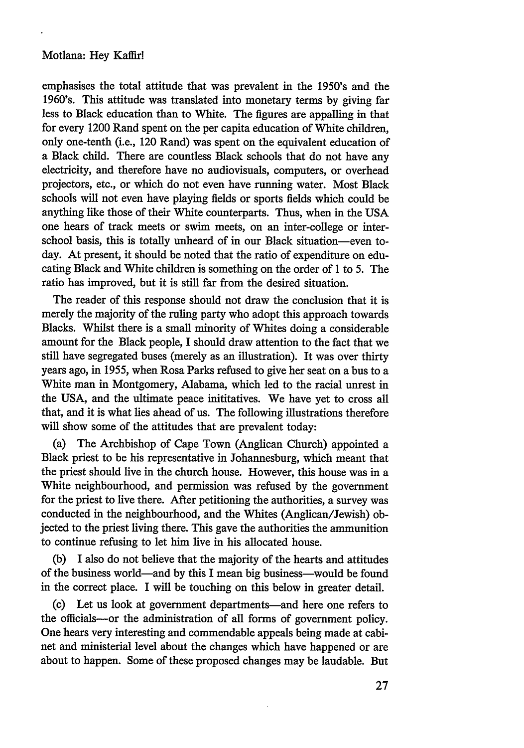# Motlana: Hey Kaffir!

emphasises the total attitude that was prevalent in the 1950's and the 1960's. This attitude was translated into monetary terms by giving far less to Black education than to White. The figures are appalling in that for every 1200 Rand spent on the per capita education of White children, only one-tenth (i.e., 120 Rand) was spent on the equivalent education of a Black child. There are countless Black schools that do not have any electricity, and therefore have no audiovisuals, computers, or overhead projectors, etc., or which do not even have running water. Most Black schools will not even have playing fields or sports fields which could be anything like those of their White counterparts. Thus, when in the USA one hears of track meets or swim meets, on an inter-college or interschool basis, this is totally unheard of in our Black situation-even today. At present, it should be noted that the ratio of expenditure on educating Black and White children is something on the order of 1 to 5. The ratio has improved, but it is still far from the desired situation.

The reader of this response should not draw the conclusion that it is merely the majority of the ruling party who adopt this approach towards Blacks. Whilst there is a small minority of Whites doing a considerable amount for the Black people, I should draw attention to the fact that we still have segregated buses (merely as an illustration). It was over thirty years ago, in 1955, when Rosa Parks refused to give her seat on a bus to a White man in Montgomery, Alabama, which led to the racial unrest in the USA, and the ultimate peace inititatives. We have yet to cross all that, and it is what lies ahead of us. The following illustrations therefore will show some of the attitudes that are prevalent today:

(a) The Archbishop of Cape Town (Anglican Church) appointed a Black priest to be his representative in Johannesburg, which meant that the priest should live in the church house. However, this house was in a White neighbourhood, and permission was refused by the government for the priest to live there. After petitioning the authorities, a survey was conducted in the neighbourhood, and the Whites (Anglican/Jewish) objected to the priest living there. This gave the authorities the ammunition to continue refusing to let him live in his allocated house.

(b) I also do not believe that the majority of the hearts and attitudes of the business world-and by this I mean big business-would be found in the correct place. I will be touching on this below in greater detail.

(c) Let us look at government departments-and here one refers to the officials-or the administration of all forms of government policy. One hears very interesting and commendable appeals being made at cabinet and ministerial level about the changes which have happened or are about to happen. Some of these proposed changes may be laudable. But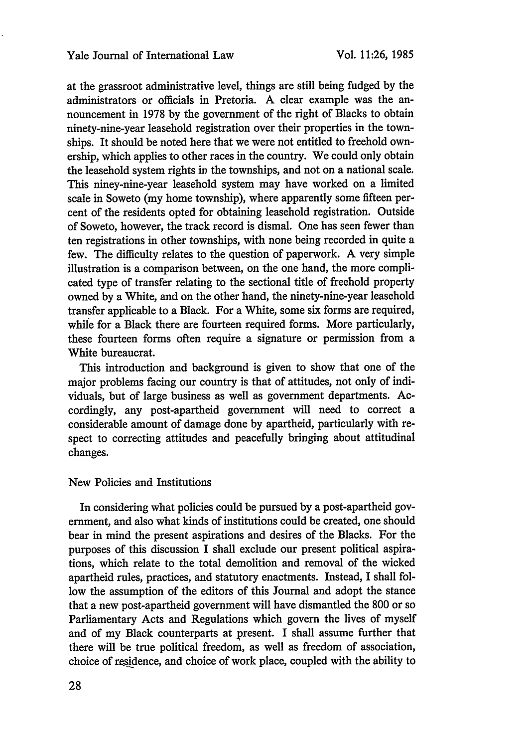at the grassroot administrative level, things are still being fudged by the administrators or officials in Pretoria. A clear example was the announcement in 1978 by the government of the right of Blacks to obtain ninety-nine-year leasehold registration over their properties in the townships. It should be noted here that we were not entitled to freehold ownership, which applies to other races in the country. We could only obtain the leasehold system rights *in* the townships, and not on a national scale. This niney-nine-year leasehold system may have worked on a limited scale in Soweto (my home township), where apparently some fifteen percent of the residents opted for obtaining leasehold registration. Outside of Soweto, however, the track record is dismal. One has seen fewer than ten registrations in other townships, with none being recorded in quite a few. The difficulty relates to the question of paperwork. A very simple illustration is a comparison between, on the one hand, the more complicated type of transfer relating to the sectional title of freehold property owned by a White, and on the other hand, the ninety-nine-year leasehold transfer applicable to a Black. For a White, some six forms are required, while for a Black there are fourteen required forms. More particularly, these fourteen forms often require a signature or permission from a White bureaucrat.

This introduction and background is given to show that one of the major problems facing our country is that of attitudes, not only of individuals, but of large business as well as government departments. Accordingly, any post-apartheid government will need to correct a considerable amount of damage done by apartheid, particularly with respect to correcting attitudes and peacefully bringing about attitudinal changes.

## New Policies and Institutions

In considering what policies could be pursued by a post-apartheid government, and also what kinds of institutions could be created, one should bear in mind the present aspirations and desires of the Blacks. For the purposes of this discussion I shall exclude our present political aspirations, which relate to the total demolition and removal of the wicked apartheid rules, practices, and statutory enactments. Instead, I shall follow the assumption of the editors of this Journal and adopt the stance that a new post-apartheid government will have dismantled the 800 or so Parliamentary Acts and Regulations which govern the lives of myself and of my Black counterparts at present. I shall assume further that there will be true political freedom, as well as freedom of association, choice of residence, and choice of work place, coupled with the ability to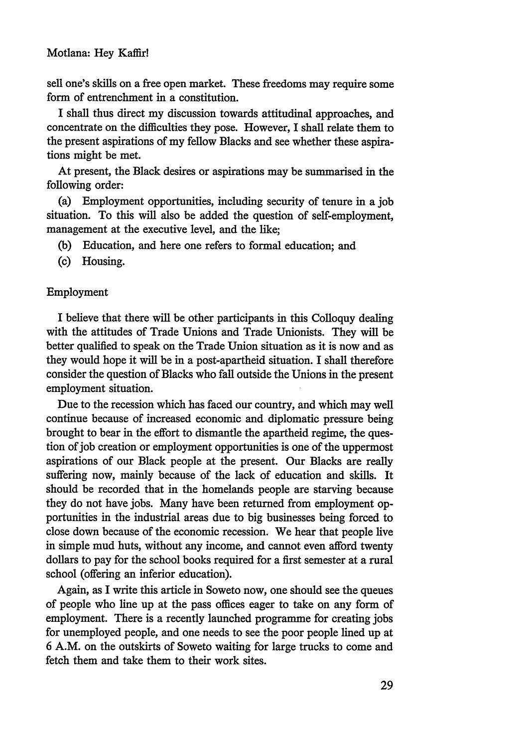# Motlana: Hey Kaffir!

sell one's skills on a free open market. These freedoms may require some form of entrenchment in a constitution.

I shall thus direct my discussion towards attitudinal approaches, and concentrate on the difficulties they pose. However, I shall relate them to the present aspirations of my fellow Blacks and see whether these aspirations might be met.

At present, the Black desires or aspirations may be summarised in the following order:

(a) Employment opportunities, including security of tenure in a job situation. To this will also be added the question of self-employment, management at the executive level, and the like;

- (b) Education, and here one refers to formal education; and
- (c) Housing.

#### Employment

I believe that there will be other participants in this Colloquy dealing with the attitudes of Trade Unions and Trade Unionists. They will be better qualified to speak on the Trade Union situation as it is now and as they would hope it will be in a post-apartheid situation. I shall therefore consider the question of Blacks who fall outside the Unions in the present employment situation.

Due to the recession which has faced our country, and which may well continue because of increased economic and diplomatic pressure being brought to bear in the effort to dismantle the apartheid regime, the question of job creation or employment opportunities is one of the uppermost aspirations of our Black people at the present. Our Blacks are really suffering now, mainly because of the lack of education and skills. It should be recorded that in the homelands people are starving because they do not have jobs. Many have been returned from employment opportunities in the industrial areas due to big businesses being forced to close down because of the economic recession. We hear that people live in simple mud huts, without any income, and cannot even afford twenty dollars to pay for the school books required for a first semester at a rural school (offering an inferior education).

Again, as I write this article in Soweto now, one should see the queues of people who line up at the pass offices eager to take on any form of employment. There is a recently launched programme for creating jobs for unemployed people, and one needs to see the poor people lined up at 6 A.M. on the outskirts of Soweto waiting for large trucks to come and fetch them and take them to their work sites.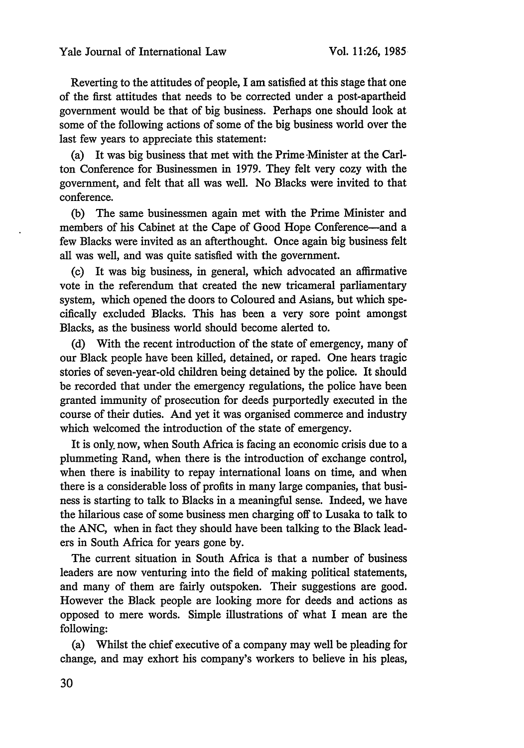Reverting to the attitudes of people, I am satisfied at this stage that one of the first attitudes that needs to be corrected under a post-apartheid government would be that of big business. Perhaps one should look at some of the following actions of some of the big business world over the last few years to appreciate this statement:

(a) It was big business that met with the Prime Minister at the Carlton Conference for Businessmen in 1979. They felt very cozy with the government, and felt that all was well. No Blacks were invited to that conference.

(b) The same businessmen again met with the Prime Minister and members of his Cabinet at the Cape of Good Hope Conference-and a few Blacks were invited as an afterthought. Once again big business felt all was well, and was quite satisfied with the government.

(c) It was big business, in general, which advocated an affirmative vote in the referendum that created the new tricameral parliamentary system, which opened the doors to Coloured and Asians, but which specifically excluded Blacks. This has been a very sore point amongst Blacks, as the business world should become alerted to.

(d) With the recent introduction of the state of emergency, many of our Black people have been killed, detained, or raped. One hears tragic stories of seven-year-old children being detained by the police. It should be recorded that under the emergency regulations, the police have been granted immunity of prosecution for deeds purportedly executed in the course of their duties. And yet it was organised commerce and industry which welcomed the introduction of the state of emergency.

It is only, now, when South Africa is facing an economic crisis due to a plummeting Rand, when there is the introduction of exchange control, when there is inability to repay international loans on time, and when there is a considerable loss of profits in many large companies, that business is starting to talk to Blacks in a meaningful sense. Indeed, we have the hilarious case of some business men charging off to Lusaka to talk to the ANC, when in fact they should have been talking to the Black leaders in South Africa for years gone by.

The current situation in South Africa is that a number of business leaders are now venturing into the field of making political statements, and many of them are fairly outspoken. Their suggestions are good. However the Black people are looking more for deeds and actions as opposed to mere words. Simple illustrations of what I mean are the following:

(a) Whilst the chief executive of a company may well be pleading for change, and may exhort his company's workers to believe in his pleas,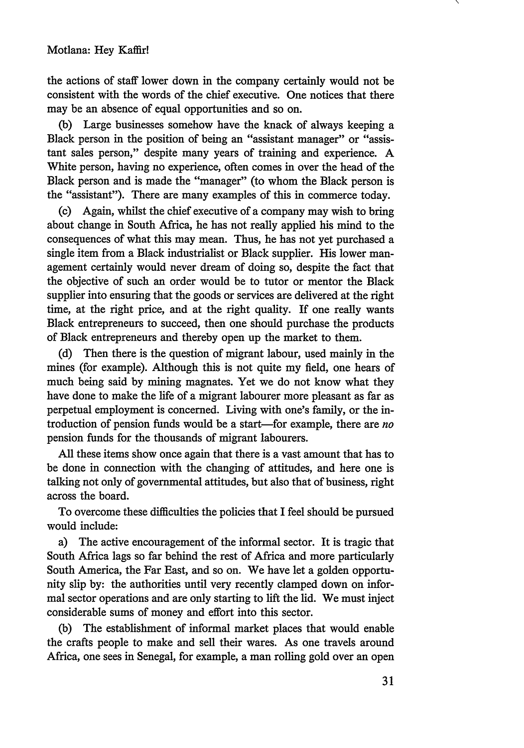the actions of staff lower down in the company certainly would not be consistent with the words of the chief executive. One notices that there may be an absence of equal opportunities and so on.

(b) Large businesses somehow have the knack of always keeping a Black person in the position of being an "assistant manager" or "assistant sales person," despite many years of training and experience. A White person, having no experience, often comes in over the head of the Black person and is made the "manager" (to whom the Black person is the "assistant"). There are many examples of this in commerce today.

(c) Again, whilst the chief executive of a company may wish to bring about change in South Africa, he has not really applied his mind to the consequences of what this may mean. Thus, he has not yet purchased a single item from a Black industrialist or Black supplier. His lower management certainly would never dream of doing so, despite the fact that the objective of such an order would be to tutor or mentor the Black supplier into ensuring that the goods or services are delivered at the right time, at the right price, and at the right quality. If one really wants Black entrepreneurs to succeed, then one should purchase the products of Black entrepreneurs and thereby open up the market to them.

(d) Then there is the question of migrant labour, used mainly in the mines (for example). Although this is not quite my field, one hears of much being said by mining magnates. Yet we do not know what they have done to make the life of a migrant labourer more pleasant as far as perpetual employment is concerned. Living with one's family, or the introduction of pension ftmds would be a start-for example, there are *no* pension funds for the thousands of migrant labourers.

All these items show once again that there is a vast amount that has to be done in connection with the changing of attitudes, and here one is talking not only of governmental attitudes, but also that of business, right across the board.

To overcome these difficulties the policies that I feel should be pursued would include:

a) The active encouragement of the informal sector. It is tragic that South Africa lags so far behind the rest of Africa and more particularly South America, the Far East, and so on. We have let a golden opportunity slip by: the authorities until very recently clamped down on informal sector operations and are only starting to lift the lid. We must inject considerable sums of money and effort into this sector.

(b) The establishment of informal market places that would enable the crafts people to make and sell their wares. As one travels around Africa, one sees in Senegal, for example, a man rolling gold over an open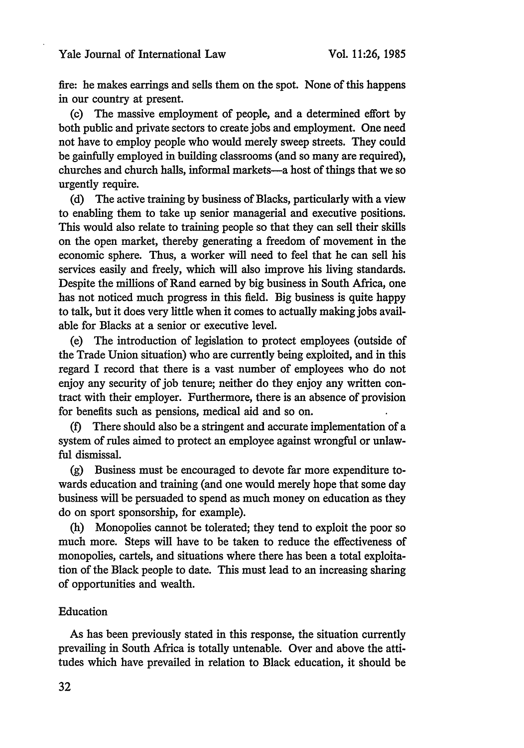## Yale Journal of International Law

fire: he makes earrings and sells them on the spot. None of this happens in our country at present.

(c) The massive employment of people, and a determined effort by both public and private sectors to create jobs and employment. One need not have to employ people who would merely sweep streets. They could be gainfully employed in building classrooms (and so many are required), churches and church halls, informal markets-a host of things that we so urgently require.

(d) The active training by business of Blacks, particularly with a view to enabling them to take up senior managerial and executive positions. This would also relate to training people so that they can sell their skills on the open market, thereby generating a freedom of movement in the economic sphere. Thus, a worker will need to feel that he can sell his services easily and freely, which will also improve his living standards. Despite the millions of Rand earned by big business in South Africa, one has not noticed much progress in this field. Big business is quite happy to talk, but it does very little when it comes to actually making jobs available for Blacks at a senior or executive level.

(e) The introduction of legislation to protect employees (outside of the Trade Union situation) who are currently being exploited, and in this regard I record that there is a vast number of employees who do not enjoy any security of job tenure; neither do they enjoy any written contract with their employer. Furthermore, there is an absence of provision for benefits such as pensions, medical aid and so on.

(f) There should also be a stringent and accurate implementation of a system of rules aimed to protect an employee against wrongful or unlawful dismissal.

(g) Business must be encouraged to devote far more expenditure towards education and training (and one would merely hope that some day business will be persuaded to spend as much money on education as they do on sport sponsorship, for example).

(h) Monopolies cannot be tolerated; they tend to exploit the poor so much more. Steps will have to be taken to reduce the effectiveness of monopolies, cartels, and situations where there has been a total exploitation of the Black people to date. This must lead to an increasing sharing of opportunities and wealth.

## Education

As has been previously stated in this response, the situation currently prevailing in South Africa is totally untenable. Over and above the attitudes which have prevailed in relation to Black education, it should be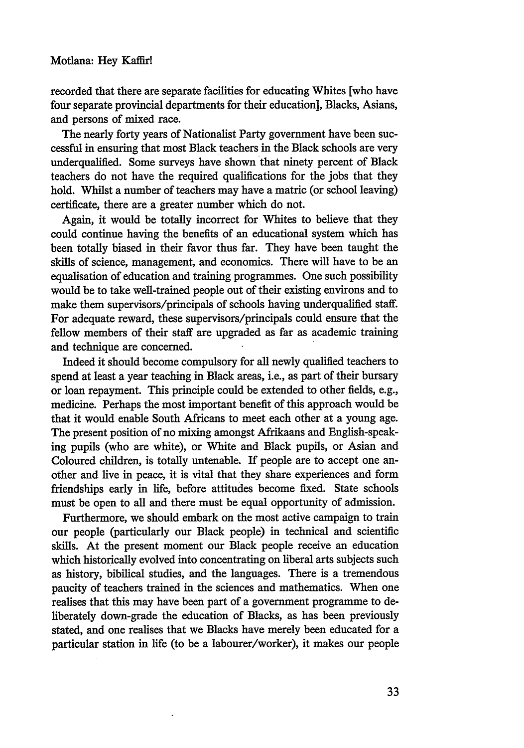recorded that there are separate facilities for educating Whites [who have four separate provincial departments for their education], Blacks, Asians, and persons of mixed race.

The nearly forty years of Nationalist Party government have been successful in ensuring that most Black teachers in the Black schools are very underqualified. Some surveys have shown that ninety percent of Black teachers do not have the required qualifications for the jobs that they hold. Whilst a number of teachers may have a matric (or school leaving) certificate, there are a greater number which do not.

Again, it would be totally incorrect for Whites to believe that they could continue having the benefits of an educational system which has been totally biased in their favor thus far. They have been taught the skills of science, management, and economics. There will have to be an equalisation of education and training programmes. One such possibility would be to take well-trained people out of their existing environs and to make them supervisors/principals of schools having underqualified staff. For adequate reward, these supervisors/principals could ensure that the fellow members of their staff are upgraded as far as academic training and technique are concerned.

Indeed it should become compulsory for all newly qualified teachers to spend at least a year teaching in Black areas, i.e., as part of their bursary or loan repayment. This principle could be extended to other fields, e.g., medicine. Perhaps the most important benefit of this approach would be that it would enable South Africans to meet each other at a young age. The present position of no mixing amongst Afrikaans and English-speaking pupils (who are white), or White and Black pupils, or Asian and Coloured children, is totally untenable. If people are to accept one another and live in peace, it is vital that they share experiences and form friendships early in life, before attitudes become fixed. State schools must be open to all and there must be equal opportunity of admission.

Furthermore, we should embark on the most active campaign to train our people (particularly our Black people) in technical and scientific skills. At the present moment our Black people receive an education which historically evolved into concentrating on liberal arts subjects such as history, bibilical studies, and the languages. There is a tremendous paucity of teachers trained in the sciences and mathematics. When one realises that this may have been part of a government programme to deliberately down-grade the education of Blacks, as has been previously stated, and one realises that we Blacks have merely been educated for a particular station in life (to be a labourer/worker), it makes our people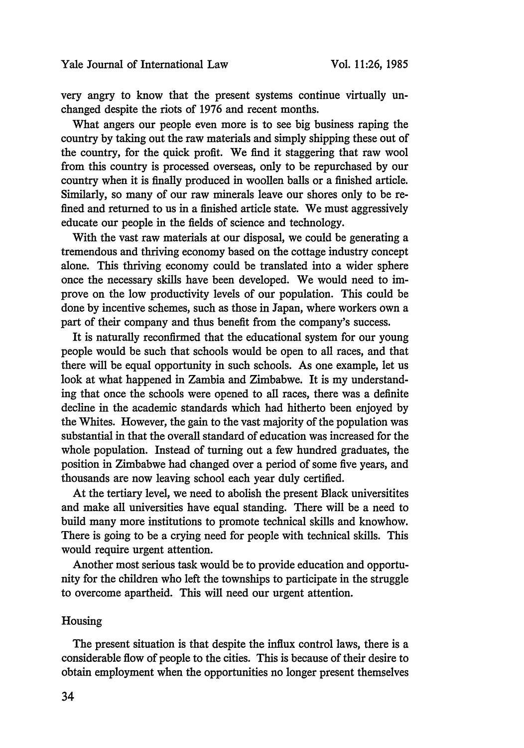very angry to know that the present systems continue virtually unchanged despite the riots of 1976 and recent months.

What angers our people even more is to see big business raping the country by taking out the raw materials and simply shipping these out of the country, for the quick profit. We find it staggering that raw wool from this country is processed overseas, only to be repurchased by our country when it is finally produced in woollen balls or a finished article. Similarly, so many of our raw minerals leave our shores only to be refined and returned to us in a finished article state. We must aggressively educate our people in the fields of science and technology.

With the vast raw materials at our disposal, we could be generating a tremendous and thriving economy based on the cottage industry concept alone. This thriving economy could be translated into a wider sphere once the necessary skills have been developed. We would need to improve on the low productivity levels of our population. This could be done by incentive schemes, such as those in Japan, where workers own a part of their company and thus benefit from the company's success.

It is naturally reconfirmed that the educational system for our young people would be such that schools would be open to all races, and that there will be equal opportunity in such schools. As one example, let us look at what happened in Zambia and Zimbabwe. It is my understanding that once the schools were opened to all races, there was a definite decline in the academic standards which had hitherto been enjoyed by the Whites. However, the gain to the vast majority of the population was substantial in that the overall standard of education was increased for the whole population. Instead of turning out a few hundred graduates, the position in Zimbabwe had changed over a period of some five years, and thousands are now leaving school each year duly certified.

At the tertiary level, we need to abolish the present Black universitites and make all universities have equal standing. There will be a need to build many more institutions to promote technical skills and knowhow. There is going to be a crying need for people with technical skills. This would require urgent attention.

Another most serious task would be to provide education and opportunity for the children who left the townships to participate in the struggle to overcome apartheid. This will need our urgent attention.

## Housing

The present situation is that despite the influx control laws, there is a considerable flow of people to the cities. This is because of their desire to obtain employment when the opportunities no longer present themselves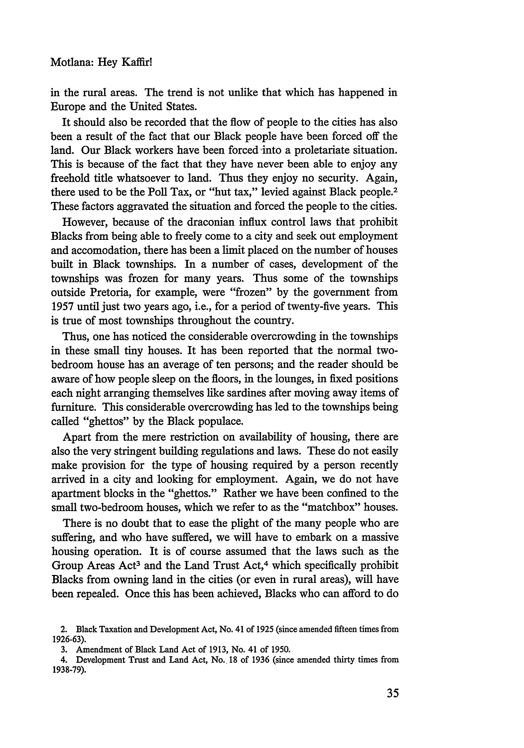in the rural areas. The trend is not unlike that which has happened in Europe and the United States.

It should also be recorded that the flow of people to the cities has also been a result of the fact that our Black people have been forced off the land. Our Black workers have been forced into a proletariate situation. This is because of the fact that they have never been able to enjoy any freehold title whatsoever to land. Thus they enjoy no security. Again, there used to be the Poll Tax, or "hut tax," levied against Black people.<sup>2</sup> These factors aggravated the situation and forced the people to the cities.

However, because of the draconian influx control laws that prohibit Blacks from being able to freely come to a city and seek out employment and accomodation, there has been a limit placed on the number of houses built in Black townships. In a number of cases, development of the townships was frozen for many years. Thus some of the townships outside Pretoria, for example, were "frozen" by the government from 1957 until just two years ago, i.e., for a period of twenty-five years. This is true of most townships throughout the country.

Thus, one has noticed the considerable overcrowding in the townships in these small tiny houses. It has been reported that the normal twobedroom house has an average of ten persons; and the reader should be aware of how people sleep on the floors, in the lounges, in fixed positions each night arranging themselves like sardines after moving away items of furniture. This considerable overcrowding has led to the townships being called "ghettos" by the Black populace.

Apart from the mere restriction on availability of housing, there are also the very stringent building regulations and laws. These do not easily make provision for the type of housing required by a person recently arrived in a city and looking for employment. Again, we do not have apartment blocks in the "ghettos." Rather we have been confined to the small two-bedroom houses, which we refer to as the "matchbox" houses.

There is no doubt that to ease the plight of the many people who are suffering, and who have suffered, we will have to embark on a massive housing operation. It is of course assumed that the laws such as the Group Areas Act<sup>3</sup> and the Land Trust Act,<sup>4</sup> which specifically prohibit Blacks from owning land in the cities (or even in rural areas), will have been repealed. Once this has been achieved, Blacks who can afford to do

<sup>2.</sup> Black Taxation and Development Act, No. 41 of 1925 (since amended fifteen times from 1926-63).

<sup>3.</sup> Amendment of Black Land Act of 1913, No. 41 of 1950.

<sup>4.</sup> Development Trust and Land Act, No. 18 of **1936** (since amended thirty times from 1938-79).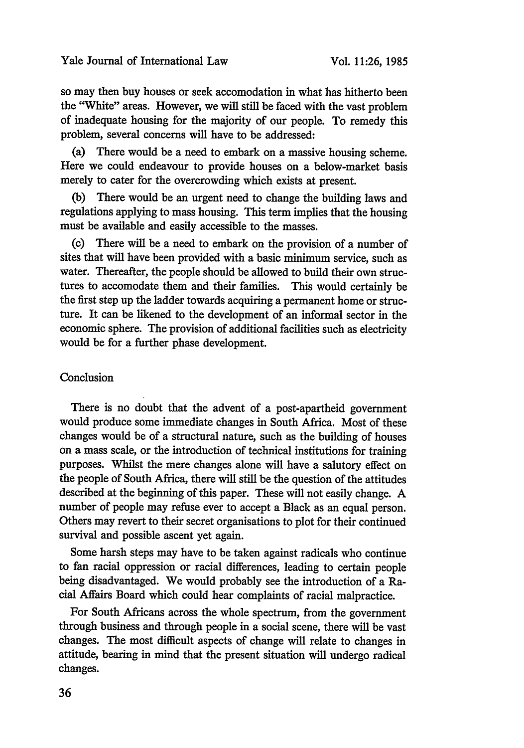so may then buy houses or seek accomodation in what has hitherto been the "White" areas. However, we will still be faced with the vast problem of inadequate housing for the majority of our people. To remedy this problem, several concerns will have to be addressed:

(a) There would be a need to embark on a massive housing scheme. Here we could endeavour to provide houses on a below-market basis merely to cater for the overcrowding which exists at present.

(b) There would be an urgent need to change the building laws and regulations applying to mass housing. This term implies that the housing must be available and easily accessible to the masses.

(c) There will be a need to embark on the provision of a number of sites that will have been provided with a basic minimum service, such as water. Thereafter, the people should be allowed to build their own structures to accomodate them and their families. This would certainly be the first step up the ladder towards acquiring a permanent home or structure. It can be likened to the development of an informal sector in the economic sphere. The provision of additional facilities such as electricity would be for a further phase development.

#### Conclusion

There is no doubt that the advent of a post-apartheid government would produce some immediate changes in South Africa. Most of these changes would be of a structural nature, such as the building of houses on a mass scale, or the introduction of technical institutions for training purposes. Whilst the mere changes alone will have a salutory effect on the people of South Africa, there will still be the question of the attitudes described at the beginning of this paper. These will not easily change. A number of people may refuse ever to accept a Black as an equal person. Others may revert to their secret organisations to plot for their continued survival and possible ascent yet again.

Some harsh steps may have to be taken against radicals who continue to fan racial oppression or racial differences, leading to certain people being disadvantaged. We would probably see the introduction of a Racial Affairs Board which could hear complaints of racial malpractice.

For South Africans across the whole spectrum, from the government through business and through people in a social scene, there will be vast changes. The most difficult aspects of change will relate to changes in attitude, bearing in mind that the present situation will undergo radical changes.